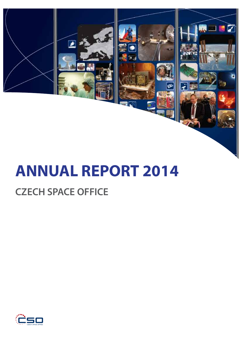

# **ANNUAL REPORT 2014**

# **CZECH SPACE OFFICE**

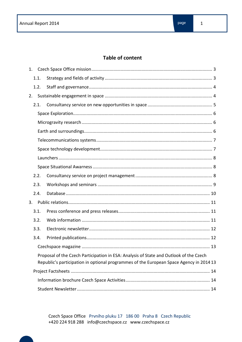# **Table of content**

| 1. |      |                                                                                                                                                                                   |  |  |  |  |
|----|------|-----------------------------------------------------------------------------------------------------------------------------------------------------------------------------------|--|--|--|--|
|    | 1.1. |                                                                                                                                                                                   |  |  |  |  |
|    | 1.2. |                                                                                                                                                                                   |  |  |  |  |
| 2. |      |                                                                                                                                                                                   |  |  |  |  |
|    | 2.1. |                                                                                                                                                                                   |  |  |  |  |
|    |      |                                                                                                                                                                                   |  |  |  |  |
|    |      |                                                                                                                                                                                   |  |  |  |  |
|    |      |                                                                                                                                                                                   |  |  |  |  |
|    |      |                                                                                                                                                                                   |  |  |  |  |
|    |      |                                                                                                                                                                                   |  |  |  |  |
|    |      |                                                                                                                                                                                   |  |  |  |  |
|    |      |                                                                                                                                                                                   |  |  |  |  |
|    | 2.2. |                                                                                                                                                                                   |  |  |  |  |
|    | 2.3. |                                                                                                                                                                                   |  |  |  |  |
|    | 2.4. |                                                                                                                                                                                   |  |  |  |  |
| 3. |      |                                                                                                                                                                                   |  |  |  |  |
|    | 3.1. |                                                                                                                                                                                   |  |  |  |  |
|    | 3.2. |                                                                                                                                                                                   |  |  |  |  |
|    | 3.3. |                                                                                                                                                                                   |  |  |  |  |
|    | 3.4. |                                                                                                                                                                                   |  |  |  |  |
|    |      |                                                                                                                                                                                   |  |  |  |  |
|    |      | Proposal of the Czech Participation in ESA: Analysis of State and Outlook of the Czech<br>Republic's participation in optional programmes of the European Space Agency in 2014 13 |  |  |  |  |
|    |      |                                                                                                                                                                                   |  |  |  |  |
|    |      |                                                                                                                                                                                   |  |  |  |  |
|    |      |                                                                                                                                                                                   |  |  |  |  |
|    |      |                                                                                                                                                                                   |  |  |  |  |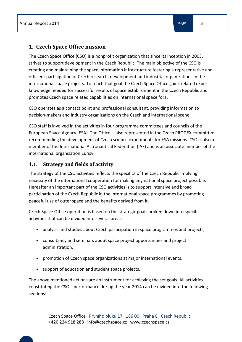# **1. Czech Space Office mission**

The Czech Space Office (CSO) is a nonprofit organization that since its inception in 2003, strives to support development in the Czech Republic. The main objective of the CSO is creating and maintaining the space information infrastructure fostering a representative and efficient participation of Czech research, development and industrial organizations in the international space projects. To reach that goal the Czech Space Office gains related expert knowledge needed for successful results of space establishment in the Czech Republic and promotes Czech space related capabilities on international space fora.

CSO operates as a contact point and professional consultant, providing information to decision-makers and industry organizations on the Czech and international scene.

CSO staff is involved in the activities in four programme committees and councils of the European Space Agency (ESA). The Office is also represented in the Czech PRODEX committee recommending the development of Czech science experiments for ESA missions. CSO is also a member of the International Astronautical Federation (IAF) and is an associate member of the international organization Eurisy.

# **1.1. Strategy and fields of activity**

The strategy of the CSO activities reflects the specifics of the Czech Republic implying necessity of the international cooperation for making any national space project possible. Hereafter an important part of the CSO activities is to support intensive and broad participation of the Czech Republic in the international space programmes by promoting peaceful use of outer space and the benefits derived from it.

Czech Space Office operation is based on the strategic goals broken down into specific activities that can be divided into several areas:

- analysis and studies about Czech participation in space programmes and projects,
- consultancy and seminars about space project opportunities and project administration,
- promotion of Czech space organizations at major international events,
- support of education and student space projects.

The above mentioned actions are an instrument for achieving the set goals. All activities constituting the CSO's performance during the year 2014 can be divided into the following sections: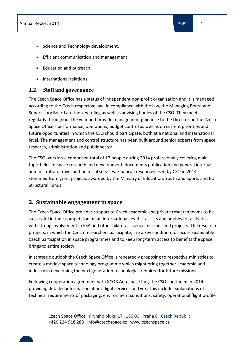- Science and Technology development,
- Efficient communication and management,
- Education and outreach,
- International relations.

## **1.2. Staff and governance**

The Czech Space Office has a status of independent non-profit organization and it is managed according to the Czech respective law. In compliance with the law, the Managing Board and Supervisory Board are the key ruling as well as advising bodies of the CSO. They meet regularly throughout the year and provide management guidance to the Director on the Czech Space Office's performance, operations, budget control as well as on current priorities and future opportunities in which the CSO should participate, both at a national and international level. The management and control structure has been built around senior experts from space research, administration and public sector.

The CSO workforce comprised total of 17 people during 2014 professionally covering main topic fields of space research and development, documents publication and general internal administration, travel and financial services. Financial resources used by CSO in 2014 stemmed from grant projects awarded by the Ministry of Education, Youth and Sports and EU Structural Funds.

# **2. Sustainable engagement in space**

The Czech Space Office provides support to Czech academic and private research teams to be successful in their competition on an international level. It assists and advises for activities with strong involvement in ESA and other bilateral science missions and projects. The research projects, in which the Czech researchers participate, are a key condition to secure sustainable Czech participation in space programmes and to keep long-term access to benefits the space brings to entire society.

In strategic outlook the Czech Space Office is repeatedly proposing to respective ministries to create a modest space technology programme which might bring together academia and industry in developing the next generation technologies required for future missions.

Following cooperation agreement with XCOR Aerospace Inc., the CSO continued in 2014 providing detailed information about flight services on Lynx. This include explanations of technical requirements of packaging, environment conditions, safety, operational flight profile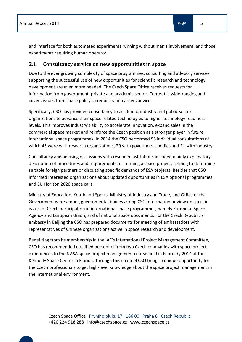and interface for both automated experiments running without man's involvement, and those experiments requiring human operator.

#### **2.1. Consultancy service on new opportunities in space**

Due to the ever growing complexity of space programmes, consulting and advisory services supporting the successful use of new opportunities for scientific research and technology development are even more needed. The Czech Space Office receives requests for information from government, private and academia sector. Content is wide-ranging and covers issues from space policy to requests for careers advice.

Specifically, CSO has provided consultancy to academic, industry and public sector organizations to advance their space related technologies to higher technology readiness levels. This improves industry's ability to accelerate innovation, expand sales in the commercial space market and reinforce the Czech position as a stronger player in future international space programmes. In 2014 the CSO performed 93 individual consultations of which 43 were with research organizations, 29 with government bodies and 21 with industry.

Consultancy and advising discussions with research institutions included mainly explanatory description of procedures and requirements for running a space project, helping to determine suitable foreign partners or discussing specific demands of ESA projects. Besides that CSO informed interested organizations about updated opportunities in ESA optional programmes and EU Horizon 2020 space calls.

Ministry of Education, Youth and Sports, Ministry of Industry and Trade, and Office of the Government were among governmental bodies asking CSO information or view on specific issues of Czech participation in international space programmes, namely European Space Agency and European Union, and of national space documents. For the Czech Republic's embassy in Beijing the CSO has prepared documents for meeting of ambassadors with representatives of Chinese organizations active in space research and development.

Benefiting from its membership in the IAF's International Project Management Committee, CSO has recommended qualified personnel from two Czech companies with space project experiences to the NASA space project management course held in February 2014 at the Kennedy Space Center in Florida. Through this channel CSO brings a unique opportunity for the Czech professionals to get high-level knowledge about the space project management in the international environment.

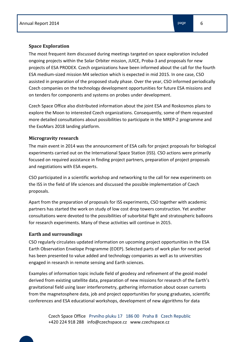#### **Space Exploration**

The most frequent item discussed during meetings targeted on space exploration included ongoing projects within the Solar Orbiter mission, JUICE, Proba-3 and proposals for new projects of ESA PRODEX. Czech organizations have been informed about the call for the fourth ESA medium-sized mission M4 selection which is expected in mid 2015. In one case, CSO assisted in preparation of the proposed study phase. Over the year, CSO informed periodically Czech companies on the technology development opportunities for future ESA missions and on tenders for components and systems on probes under development.

Czech Space Office also distributed information about the joint ESA and Roskosmos plans to explore the Moon to interested Czech organizations. Consequently, some of them requested more detailed consultations about possibilities to participate in the MREP-2 programme and the ExoMars 2018 landing platform.

#### **Microgravity research**

The main event in 2014 was the announcement of ESA calls for project proposals for biological experiments carried out on the International Space Station (ISS). CSO actions were primarily focused on required assistance in finding project partners, preparation of project proposals and negotiations with ESA experts.

CSO participated in a scientific workshop and networking to the call for new experiments on the ISS in the field of life sciences and discussed the possible implementation of Czech proposals.

Apart from the preparation of proposals for ISS experiments, CSO together with academic partners has started the work on study of low cost drop towers construction. Yet another consultations were devoted to the possibilities of suborbital flight and stratospheric balloons for research experiments. Many of these activities will continue in 2015.

#### **Earth and surroundings**

CSO regularly circulates updated information on upcoming project opportunities in the ESA Earth Observation Envelope Programme (EOEP). Selected parts of work plan for next period has been presented to value added and technology companies as well as to universities engaged in research in remote sensing and Earth sciences.

Examples of information topic include field of geodesy and refinement of the geoid model derived from existing satellite data, preparation of new missions for research of the Earth's gravitational field using laser interferometry, gathering information about ocean currents from the magnetosphere data, job and project opportunities for young graduates, scientific conferences and ESA educational workshops, development of new algorithms for data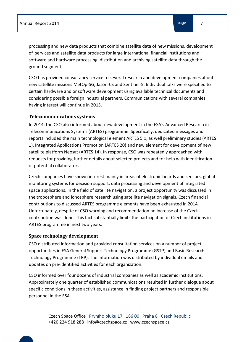processing and new data products that combine satellite data of new missions, development of services and satellite data products for large international financial institutions and software and hardware processing, distribution and archiving satellite data through the ground segment.

CSO has provided consultancy service to several research and development companies about new satellite missions MetOp-SG, Jason-CS and Sentinel-5. Individual talks were specified to certain hardware and or software development using available technical documents and considering possible foreign industrial partners. Communications with several companies having interest will continue in 2015.

#### **Telecommunications systems**

In 2014, the CSO also informed about new development in the ESA's Advanced Research in Telecommunications Systems (ARTES) programme. Specifically, dedicated messages and reports included the main technological element ARTES 5.1, as well preliminary studies (ARTES 1), Integrated Applications Promotion (ARTES 20) and new element for development of new satellite platform Neosat (ARTES 14). In response, CSO was repeatedly approached with requests for providing further details about selected projects and for help with identification of potential collaborators.

Czech companies have shown interest mainly in areas of electronic boards and sensors, global monitoring systems for decision support, data processing and development of integrated space applications. In the field of satellite navigation, a project opportunity was discussed in the troposphere and ionosphere research using satellite navigation signals. Czech financial contributions to discussed ARTES programme elements have been exhausted in 2014. Unfortunately, despite of CSO warning and recommendation no increase of the Czech contribution was done. This fact substantially limits the participation of Czech institutions in ARTES programme in next two years.

## **Space technology development**

CSO distributed information and provided consultation services on a number of project opportunities in ESA General Support Technology Programme (GSTP) and Basic Research Technology Programme (TRP). The information was distributed by individual emails and updates on pre-identified activities for each organization.

CSO informed over four dozens of industrial companies as well as academic institutions. Approximately one quarter of established communications resulted in further dialogue about specific conditions in these activities, assistance in finding project partners and responsible personnel in the ESA.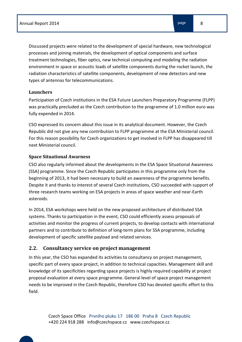Discussed projects were related to the development of special hardware, new technological processes and joining materials, the development of optical components and surface treatment technologies, fiber optics, new technical computing and modeling the radiation environment in space or acoustic loads of satellite components during the rocket launch, the radiation characteristics of satellite components, development of new detectors and new types of antennas for telecommunications.

# **Launchers**

Participation of Czech institutions in the ESA Future Launchers Preparatory Programme (FLPP) was practically precluded as the Czech contribution to the programme of 1.0 million euro was fully expended in 2014.

CSO expressed its concern about this issue in its analytical document. However, the Czech Republic did not give any new contribution to FLPP programme at the ESA Ministerial council. For this reason possibility for Czech organizations to get involved in FLPP has disappeared till next Ministerial council.

# **Space Situational Awarness**

CSO also regularly informed about the developments in the ESA Space Situational Awareness (SSA) programme. Since the Czech Republic participates in this programme only from the beginning of 2013, it had been necessary to build an awareness of the programme benefits. Despite it and thanks to interest of several Czech institutions, CSO succeeded with support of three research teams working on ESA projects in areas of space weather and near-Earth asteroids.

In 2014, ESA workshops were held on the new proposed architecture of distributed SSA systems. Thanks to participation in the event, CSO could efficiently assess proposals of activities and monitor the progress of current projects, to develop contacts with international partners and to contribute to definition of long-term plans for SSA programme, including development of specific satellite payload and related services.

# **2.2. Consultancy service on project management**

In this year, the CSO has expanded its activities to consultancy on project management, specific part of every space project, in addition to technical capacities. Management skill and knowledge of its specificities regarding space projects is highly required capability at project proposal evaluation at every space programme. General level of space project management needs to be improved in the Czech Republic, therefore CSO has devoted specific effort to this field.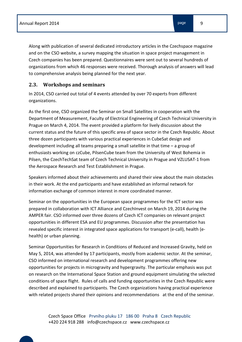Along with publication of several dedicated introductory articles in the Czechspace magazine and on the CSO website, a survey mapping the situation in space project management in Czech companies has been prepared. Questionnaires were sent out to several hundreds of organizations from which 46 responses were received. Thorough analysis of answers will lead to comprehensive analysis being planned for the next year.

# **2.3. Workshops and seminars**

In 2014, CSO carried out total of 4 events attended by over 70 experts from different organizations.

As the first one, CSO organized the Seminar on Small Satellites in cooperation with the Department of Measurement, Faculty of Electrical Engineering of Czech Technical University in Prague on March 4, 2014. The event provided a platform for lively discussion about the current status and the future of this specific area of space sector in the Czech Republic. About three dozen participants with various practical experiences in CubeSat design and development including all teams preparing a small satellite in that time – a group of enthusiasts working on czCube, PilsenCube team from the University of West Bohemia in Pilsen, the CzechTechSat team of Czech Technical University in Prague and VZLUSAT-1 from the Aerospace Research and Test Establishment in Prague.

Speakers informed about their achievements and shared their view about the main obstacles in their work. At the end participants and have established an informal network for information exchange of common interest in more coordinated manner.

Seminar on the opportunities in the European space programmes for the ICT sector was prepared in collaboration with ICT Alliance and CzechInvest on March 19, 2014 during the AMPER fair. CSO informed over three dozens of Czech ICT companies on relevant project opportunities in different ESA and EU programmes. Discussion after the presentation has revealed specific interest in integrated space applications for transport (e-call), health (ehealth) or urban planning.

Seminar Opportunities for Research in Conditions of Reduced and Increased Gravity, held on May 5, 2014, was attended by 17 participants, mostly from academic sector. At the seminar, CSO informed on international research and development programmes offering new opportunities for projects in microgravity and hypergravity. The particular emphasis was put on research on the International Space Station and ground equipment simulating the selected conditions of space flight. Rules of calls and funding opportunities in the Czech Republic were described and explained to participants. The Czech organizations having practical experience with related projects shared their opinions and recommendations at the end of the seminar.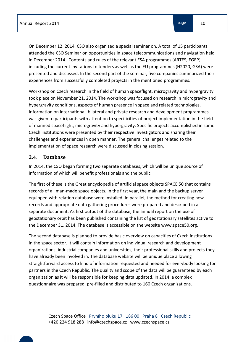On December 12, 2014, CSO also organized a special seminar on. A total of 15 participants attended the CSO Seminar on opportunities in space telecommunications and navigation held in December 2014. Contents and rules of the relevant ESA programmes (ARTES, EGEP) including the current invitations to tenders as well as the EU programmes (H2020, GSA) were presented and discussed. In the second part of the seminar, five companies summarized their experiences from successfully completed projects in the mentioned programmes.

Workshop on Czech research in the field of human spaceflight, microgravity and hypergravity took place on November 21, 2014. The workshop was focused on research in microgravity and hypergravity conditions, aspects of human presence in space and related technologies. Information on international, bilateral and private research and development programmes was given to participants with attention to specificities of project implementation in the field of manned spaceflight, microgravity and hypergravity. Specific projects accomplished in some Czech institutions were presented by their respective investigators and sharing their challenges and experiences in open manner. The general challenges related to the implementation of space research were discussed in closing session.

# **2.4. Database**

In 2014, the CSO began forming two separate databases, which will be unique source of information of which will benefit professionals and the public.

The first of these is the Great encyclopedia of artificial space objects SPACE 50 that contains records of all man-made space objects. In the first year, the main and the backup server equipped with relation database were installed. In parallel, the method for creating new records and appropriate data gathering procedures were prepared and described in a separate document. As first output of the database, the annual report on the use of geostationary orbit has been published containing the list of geostationary satellites active to the December 31, 2014. The database is accessible on the website www.space50.org.

The second database is planned to provide basic overview on capacities of Czech institutions in the space sector. It will contain information on individual research and development organizations, industrial companies and universities, their professional skills and projects they have already been involved in. The database website will be unique place allowing straightforward access to kind of information requested and needed for everybody looking for partners in the Czech Republic. The quality and scope of the data will be guaranteed by each organization as it will be responsible for keeping data updated. In 2014, a complex questionnaire was prepared, pre-filled and distributed to 160 Czech organizations.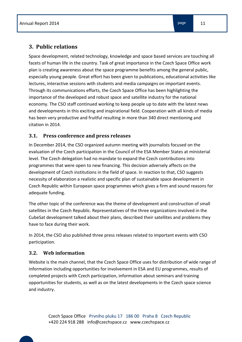Space development, related technology, knowledge and space based services are touching all facets of human life in the country. Task of great importance in the Czech Space Office work plan is creating awareness about the space programme benefits among the general public, especially young people. Great effort has been given to publications, educational activities like lectures, interactive sessions with students and media campaigns on important events. Through its communications efforts, the Czech Space Office has been highlighting the importance of the developed and robust space and satellite industry for the national economy. The CSO staff continued working to keep people up to date with the latest news and developments in this exciting and inspirational field. Cooperation with all kinds of media has been very productive and fruitful resulting in more than 340 direct mentioning and citation in 2014.

# **3.1. Press conference and press releases**

In December 2014, the CSO organized autumn meeting with journalists focused on the evaluation of the Czech participation in the Council of the ESA Member States at ministerial level. The Czech delegation had no mandate to expand the Czech contributions into programmes that were open to new financing. This decision adversely affects on the development of Czech institutions in the field of space. In reaction to that, CSO suggests necessity of elaboration a realistic and specific plan of sustainable space development in Czech Republic within European space programmes which gives a firm and sound reasons for adequate funding.

The other topic of the conference was the theme of development and construction of small satellites in the Czech Republic. Representatives of the three organizations involved in the CubeSat development talked about their plans, described their satellites and problems they have to face during their work.

In 2014, the CSO also published three press releases related to important events with CSO participation.

# **3.2. Web information**

Website is the main channel, that the Czech Space Office uses for distribution of wide range of information including opportunities for involvement in ESA and EU programmes, results of completed projects with Czech participation, information about seminars and training opportunities for students, as well as on the latest developments in the Czech space science and industry.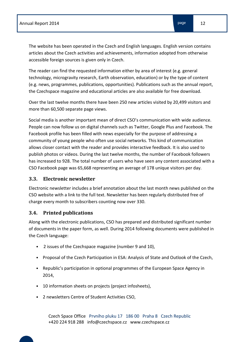The website has been operated in the Czech and English languages. English version contains articles about the Czech activities and achievements, information adopted from otherwise accessible foreign sources is given only in Czech.

The reader can find the requested information either by area of interest (e.g. general technology, microgravity research, Earth observation, education) or by the type of content (e.g. news, programmes, publications, opportunities). Publications such as the annual report, the Czechspace magazine and educational articles are also available for free download.

Over the last twelve months there have been 250 new articles visited by 20,499 visitors and more than 60,500 separate page views.

Social media is another important mean of direct CSO's communication with wide audience. People can now follow us on digital channels such as Twitter, Google Plus and Facebook. The Facebook profile has been filled with news especially for the purpose of addressing a community of young people who often use social networks. This kind of communication allows closer contact with the reader and provides interactive feedback. It is also used to publish photos or videos. During the last twelve months, the number of Facebook followers has increased to 928. The total number of users who have seen any content associated with a CSO Facebook page was 65,668 representing an average of 178 unique visitors per day.

## **3.3. Electronic newsletter**

Electronic newsletter includes a brief annotation about the last month news published on the CSO website with a link to the full text. Newsletter has been regularly distributed free of charge every month to subscribers counting now over 330.

## **3.4. Printed publications**

Along with the electronic publications, CSO has prepared and distributed significant number of documents in the paper form, as well. During 2014 following documents were published in the Czech language:

- 2 issues of the Czechspace magazine (number 9 and 10),
- Proposal of the Czech Participation in ESA: Analysis of State and Outlook of the Czech,
- Republic's participation in optional programmes of the European Space Agency in 2014,
- 10 information sheets on projects (project infosheets),
- 2 newsletters Centre of Student Activities CSO,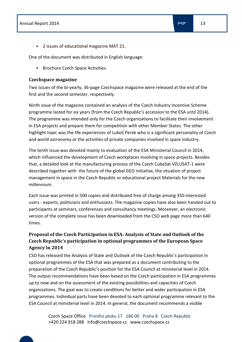- 
- 2 issues of educational magazine MAT 21.

One of the document was distributed in English language:

• Brochure Czech Space Activities.

#### **Czechspace magazine**

Two issues of the bi-yearly, 36-page Czechspace magazine were released at the end of the first and the second semester, respectively.

Ninth issue of the magazine contained an analysis of the Czech Industry Incentive Scheme programme lasted for six years (from the Czech Republic's accession to the ESA until 2014). The programme was intended only for the Czech organizations to facilitate their involvement in ESA projects and prepare them for competition with other Member States. The other highlight topic was the life experiences of Luboš Perek who is a significant personality of Czech and world astronomy or the activities of private companies involved in space industry.

The tenth issue was devoted mainly to evaluation of the ESA Ministerial Council in 2014, which influenced the development of Czech workplaces involving in space projects. Besides that, a detailed look at the manufacturing process of the Czech CubeSat VZLUSAT-1 were described together with the future of the global GEO initiative, the situation of project management in space in the Czech Republic or educational project Materials for the new millennium.

Each issue was printed in 500 copies and distributed free of charge among 350 interested users - experts, politicians and enthusiasts. The magazine copies have also been handed out to participants at seminars, conferences and consultancy meetings. Moreover, an electronic version of the complete issue has been downloaded from the CSO web page more than 640 times.

# **Proposal of the Czech Participation in ESA: Analysis of State and Outlook of the Czech Republic's participation in optional programmes of the European Space Agency in 2014**

CSO has released the Analysis of State and Outlook of the Czech Republic's participation in optional programmes of the ESA that was prepared as a document contributing to the preparation of the Czech Republic's position for the ESA Council at ministerial level in 2014. The output recommendations have been based on the Czech participation in ESA programmes up to now and on the assessment of the existing possibilities and capacities of Czech organizations. The goal was to create conditions for better and wider participation in ESA programmes. Individual parts have been devoted to each optional programme relevant to the ESA Council at ministerial level in 2014. In general, the document recommends a visible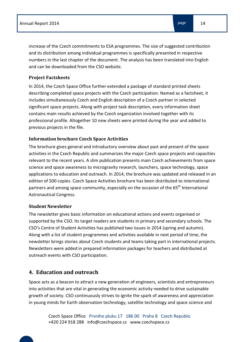increase of the Czech commitments to ESA programmes. The size of suggested contribution and its distribution among individual programmes is specifically presented in respective numbers in the last chapter of the document. The analysis has been translated into English and can be downloaded from the CSO website.

#### **Project Factsheets**

In 2014, the Czech Space Office further extended a package of standard printed sheets describing completed space projects with the Czech participation. Named as a factsheet, it includes simultaneously Czech and English description of a Czech partner in selected significant space projects. Along with project task description, every information sheet contains main results achieved by the Czech organization involved together with its professional profile. Altogether 10 new sheets were printed during the year and added to previous projects in the file.

## **Information brochure Czech Space Activities**

The brochure gives general and introductory overview about past and present of the space activities in the Czech Republic and summarizes the major Czech space projects and capacities relevant to the recent years. A slim publication presents main Czech achievements from space science and space awareness to microgravity research, launchers, space technology, space applications to education and outreach. In 2014, the brochure was updated and released in an edition of 500 copies. Czech Space Activities brochure has been distributed to international partners and among space community, especially on the occasion of the 65<sup>th</sup> International Astronautical Congress.

#### **Student Newsletter**

The newsletter gives basic information on educational actions and events organised or supported by the CSO. Its target readers are students in primary and secondary schools. The CSO's Centre of Student Activities has published two issues in 2014 (spring and autumn). Along with a list of student programmes and activities available in next period of time, the newsletter brings stories about Czech students and teams taking part in international projects. Newsletters were added in prepared information packages for teachers and distributed at outreach events with CSO participation.

# **4. Education and outreach**

Space acts as a beacon to attract a new generation of engineers, scientists and entrepreneurs into activities that are vital in generating the economic activity needed to drive sustainable growth of society. CSO continuously strives to ignite the spark of awareness and appreciation in young minds for Earth observation technology, satellite technology and space science and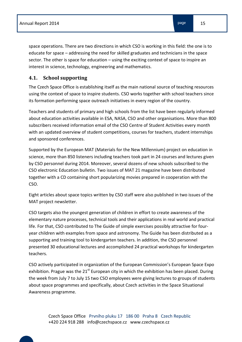space operations. There are two directions in which CSO is working in this field: the one is to educate for space – addressing the need for skilled graduates and technicians in the space sector. The other is space for education – using the exciting context of space to inspire an interest in science, technology, engineering and mathematics.

## **4.1. School supporting**

The Czech Space Office is establishing itself as the main national source of teaching resources using the context of space to inspire students. CSO works together with school teachers since its formation performing space outreach initiatives in every region of the country.

Teachers and students of primary and high schools from the list have been regularly informed about education activities available in ESA, NASA, CSO and other organisations. More than 800 subscribers received information email of the CSO Centre of Student Activities every month with an updated overview of student competitions, courses for teachers, student internships and sponsored conferences.

Supported by the European MAT (Materials for the New Millennium) project on education in science, more than 850 listeners including teachers took part in 24 courses and lectures given by CSO personnel during 2014. Moreover, several dozens of new schools subscribed to the CSO electronic Education bulletin. Two issues of MAT 21 magazine have been distributed together with a CD containing short popularizing movies prepared in cooperation with the CSO.

Eight articles about space topics written by CSO staff were also published in two issues of the MAT project newsletter.

CSO targets also the youngest generation of children in effort to create awareness of the elementary nature processes, technical tools and their applications in real world and practical life. For that, CSO contributed to The Guide of simple exercises possibly attractive for fouryear children with examples from space and astronomy. The Guide has been distributed as a supporting and training tool to kindergarten teachers. In addition, the CSO personnel presented 30 educational lectures and accomplished 24 practical workshops for kindergarten teachers.

CSO actively participated in organization of the European Commission's European Space Expo exhibition. Prague was the  $21<sup>st</sup>$  European city in which the exhibition has been placed. During the week from July 7 to July 15 two CSO employees were giving lectures to groups of students about space programmes and specifically, about Czech activities in the Space Situational Awareness programme.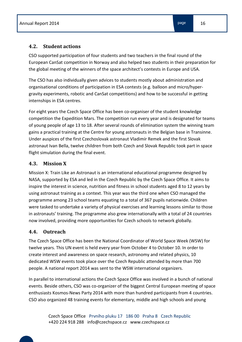CSO supported participation of four students and two teachers in the final round of the European CanSat competition in Norway and also helped two students in their preparation for the global meeting of the winners of the space architect's contests in Europe and USA.

The CSO has also individually given advices to students mostly about administration and organisational conditions of participation in ESA contests (e.g. balloon and micro/hypergravity experiments, robotic and CanSat competitions) and how to be successful in getting internships in ESA centres.

For eight years the Czech Space Office has been co-organiser of the student knowledge competition the Expedition Mars. The competition run every year and is designated for teams of young people of age 13 to 18. After several rounds of elimination system the winning team gains a practical training at the Centre for young astronauts in the Belgian base in Transinne. Under auspices of the first Czechoslovak astronaut Vladimír Remek and the first Slovak astronaut Ivan Bella, twelve children from both Czech and Slovak Republic took part in space flight simulation during the final event.

# **4.3. Mission X**

Mission X: Train Like an Astronaut is an international educational programme designed by NASA, supported by ESA and led in the Czech Republic by the Czech Space Office. It aims to inspire the interest in science, nutrition and fitness in school students aged 8 to 12 years by using astronaut training as a context. This year was the third one when CSO managed the programme among 23 school teams equating to a total of 367 pupils nationwide. Children were tasked to undertake a variety of physical exercises and learning lessons similar to those in astronauts' training. The programme also grew internationally with a total of 24 countries now involved, providing more opportunities for Czech schools to network globally.

# **4.4. Outreach**

The Czech Space Office has been the National Coordinator of World Space Week (WSW) for twelve years. This UN event is held every year from October 4 to October 10. In order to create interest and awareness on space research, astronomy and related physics, 10 dedicated WSW events took place over the Czech Republic attended by more than 700 people. A national report 2014 was sent to the WSW international organizers.

In parallel to international actions the Czech Space Office was involved in a bunch of national events. Beside others, CSO was co-organizer of the biggest Central European meeting of space enthusiasts Kosmos-News Party 2014 with more than hundred participants from 4 countries. CSO also organized 48 training events for elementary, middle and high schools and young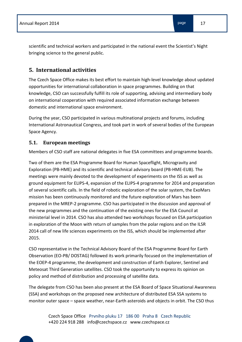scientific and technical workers and participated in the national event the Scientist's Night bringing science to the general public.

# **5. International activities**

The Czech Space Office makes its best effort to maintain high-level knowledge about updated opportunities for international collaboration in space programmes. Building on that knowledge, CSO can successfully fulfill its role of supporting, advising and intermediary body on international cooperation with required associated information exchange between domestic and international space environment.

During the year, CSO participated in various multinational projects and forums, including International Astronautical Congress, and took part in work of several bodies of the European Space Agency.

## **5.1. European meetings**

Members of CSO staff are national delegates in five ESA committees and programme boards.

Two of them are the ESA Programme Board for Human Spaceflight, Microgravity and Exploration (PB-HME) and its scientific and technical advisory board (PB-HME-EUB). The meetings were mainly devoted to the development of experiments on the ISS as well as ground equipment for ELIPS-4, expansion of the ELIPS-4 programme for 2014 and preparation of several scientific calls. In the field of robotic exploration of the solar system, the ExoMars mission has been continuously monitored and the future exploration of Mars has been prepared in the MREP-2 programme. CSO has participated in the discussion and approval of the new programmes and the continuation of the existing ones for the ESA Council at ministerial level in 2014. CSO has also attended two workshops focused on ESA participation in exploration of the Moon with return of samples from the polar regions and on the ILSR 2014 call of new life sciences experiments on the ISS, which should be implemented after 2015.

CSO representative in the Technical Advisory Board of the ESA Programme Board for Earth Observation (EO-PB/ DOSTAG) followed its work primarily focused on the implementation of the EOEP-4 programme, the development and construction of Earth Explorer, Sentinel and Meteosat Third Generation satellites. CSO took the opportunity to express its opinion on policy and method of distribution and processing of satellite data.

The delegate from CSO has been also present at the ESA Board of Space Situational Awareness (SSA) and workshops on the proposed new architecture of distributed ESA SSA systems to monitor outer space – space weather, near-Earth asteroids and objects in orbit. The CSO thus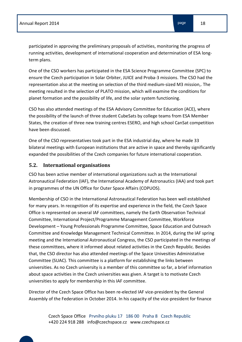participated in approving the preliminary proposals of activities, monitoring the progress of running activities, development of international cooperation and determination of ESA longterm plans.

One of the CSO workers has participated in the ESA Science Programme Committee (SPC) to ensure the Czech participation in Solar Orbiter, JUICE and Proba-3 missions. The CSO had the representation also at the meeting on selection of the third medium-sized M3 mission,. The meeting resulted in the selection of PLATO mission, which will examine the conditions for planet formation and the possibility of life, and the solar system functioning.

CSO has also attended meetings of the ESA Advisory Committee for Education (ACE), where the possibility of the launch of three student CubeSats by college teams from ESA Member States, the creation of three new training centres ESERO, and high school CanSat competition have been discussed.

One of the CSO representatives took part in the ESA industrial day, where he made 33 bilateral meetings with European institutions that are active in space and thereby significantly expanded the possibilities of the Czech companies for future international cooperation.

# **5.2. International organisations**

CSO has been active member of international organizations such as the International Astronautical Federation (IAF), the International Academy of Astronautics (IAA) and took part in programmes of the UN Office for Outer Space Affairs (COPUOS).

Membership of CSO in the International Astronautical Federation has been well established for many years. In recognition of its expertise and experience in the field, the Czech Space Office is represented on several IAF committees, namely the Earth Observation Technical Committee, International Project/Programme Management Committee, Workforce Development – Young Professionals Programme Committee, Space Education and Outreach Committee and Knowledge Management Technical Committee. In 2014, during the IAF spring meeting and the International Astronautical Congress, the CSO participated in the meetings of these committees, where it informed about related activities in the Czech Republic. Besides that, the CSO director has also attended meetings of the Space Univesities Administative Committee (SUAC). This committee is a platform for establishing the links between universities. As no Czech university is a member of this committee so far, a brief information about space activities in the Czech universities was given. A target is to motivate Czech universities to apply for membership in this IAF committee.

Director of the Czech Space Office has been re-elected IAF vice-president by the General Assembly of the Federation in October 2014. In his capacity of the vice-president for finance